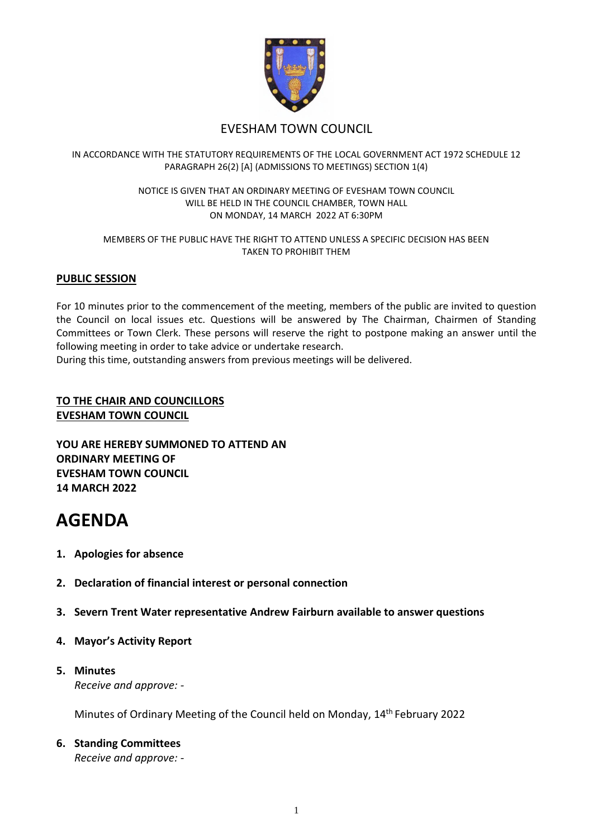

# EVESHAM TOWN COUNCIL

# IN ACCORDANCE WITH THE STATUTORY REQUIREMENTS OF THE LOCAL GOVERNMENT ACT 1972 SCHEDULE 12 PARAGRAPH 26(2) [A] (ADMISSIONS TO MEETINGS) SECTION 1(4)

#### NOTICE IS GIVEN THAT AN ORDINARY MEETING OF EVESHAM TOWN COUNCIL WILL BE HELD IN THE COUNCIL CHAMBER, TOWN HALL ON MONDAY, 14 MARCH 2022 AT 6:30PM

#### MEMBERS OF THE PUBLIC HAVE THE RIGHT TO ATTEND UNLESS A SPECIFIC DECISION HAS BEEN TAKEN TO PROHIBIT THEM

# **PUBLIC SESSION**

For 10 minutes prior to the commencement of the meeting, members of the public are invited to question the Council on local issues etc. Questions will be answered by The Chairman, Chairmen of Standing Committees or Town Clerk. These persons will reserve the right to postpone making an answer until the following meeting in order to take advice or undertake research.

During this time, outstanding answers from previous meetings will be delivered.

# **TO THE CHAIR AND COUNCILLORS EVESHAM TOWN COUNCIL**

**YOU ARE HEREBY SUMMONED TO ATTEND AN ORDINARY MEETING OF EVESHAM TOWN COUNCIL 14 MARCH 2022**

# **AGENDA**

- **1. Apologies for absence**
- **2. Declaration of financial interest or personal connection**
- **3. Severn Trent Water representative Andrew Fairburn available to answer questions**
- **4. Mayor's Activity Report**

# **5. Minutes** *Receive and approve: -*

Minutes of Ordinary Meeting of the Council held on Monday, 14th February 2022

# **6. Standing Committees**

*Receive and approve: -*